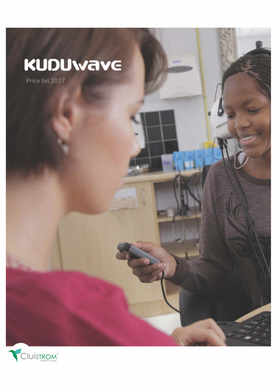# KUDUwave

Price list 2017

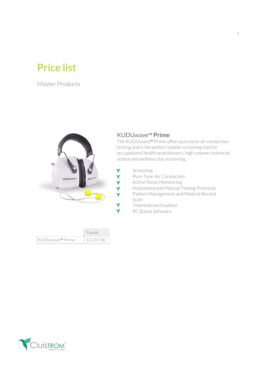# Price list

Master Products



#### KUDUwave™ Prime

The KUDUwave™ Prime offers pure tone air conduction testing and is the perfect mobile screening tool for occupational health practitioners, high volume industrial, school and wellness day screening.

- ↑<br>
Screening<br>
Pure Tone<br>
Active Noi<br>
Automated<br>
Patient Ma
	- Pure Tone Air Conduction
	- **Active Noise Monitoring**
	- Automated and Manual Testing Protocols
	- Patient Management and Medical Record Suite
	- Telemedicine Enabled
	- PC Based Software

|                  | Pound     |
|------------------|-----------|
| ∣KUDUwave™ Prime | £3,357.00 |

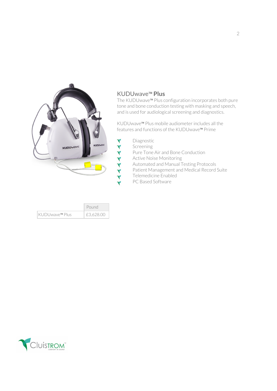

|                | Pound     |
|----------------|-----------|
| KUDUwave™ Plus | £3,628.00 |

## KUDUwave™ Plus

The KUDUwave™ Plus configuration incorporates both pure tone and bone conduction testing with masking and speech, and is used for audiological screening and diagnostics.

KUDUwave™ Plus mobile audiometer includes all the features and functions of the KUDUwave™ Prime

- ↑<br>
Pure Tone<br>
Pure Tone<br>
Active Nois<br>
Active Nois<br>
Automated<br>
Patient Ma<br>
Telemedici<br>
PC Based S
	- **Screening**
	- Pure Tone Air and Bone Conduction
	- **Active Noise Monitoring**
	- Automated and Manual Testing Protocols
	- Patient Management and Medical Record Suite
	- Telemedicine Enabled
	- PC Based Software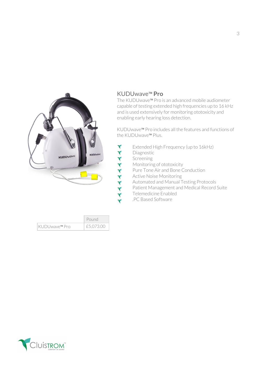

#### KUDUwave™ Pro

The KUDUwave™ Pro is an advanced mobile audiometer capable of testing extended high frequencies up to 16 kHz and is used extensively for monitoring ototoxicity and enabling early hearing loss detection.

KUDUwave™ Pro includes all the features and functions of the KUDUwave™ Plus.

- Extended High Frequency (up to 16kHz)<br>
Diagnostic<br>
Screening<br>
Monitoring of ototoxicity<br>
Pure Tone Air and Bone Conduction<br>
Active Noise Monitoring<br>
Automated and Manual Testing Protocol:<br>
Patient Management and Medical Re
	- Diagnostic
	- **Screening**
	- Monitoring of ototoxicity
		- Pure Tone Air and Bone Conduction
			- **Active Noise Monitoring**
		- Automated and Manual Testing Protocols
		- Patient Management and Medical Record Suite
		- Telemedicine Enabled
		- .PC Based Software

|                | Pound     |
|----------------|-----------|
| ∣KUDUwave™ Pro | £5,073.00 |

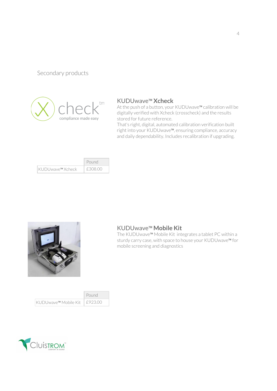### Secondary products



#### KUDUwave™ Xcheck

At the push of a button, your KUDUwave™ calibration will be digitally verified with Xcheck (crosscheck) and the results stored for future reference.

That's right, digital, automated calibration verification built right into your KUDUwave™, ensuring compliance, accuracy and daily dependability. Includes recalibration if upgrading.

|                   | Pound   |
|-------------------|---------|
| ∣KUDUwave™ Xcheck | £308.00 |



#### KUDUwave™ Mobile Kit

The KUDUwave™ Mobile Kit integrates a tablet PC within a sturdy carry case, with space to house your KUDUwave™ for mobile screening and diagnostics

|                       | Pound    |
|-----------------------|----------|
| ∣KUDUwave™ Mobile Kit | TE923.00 |